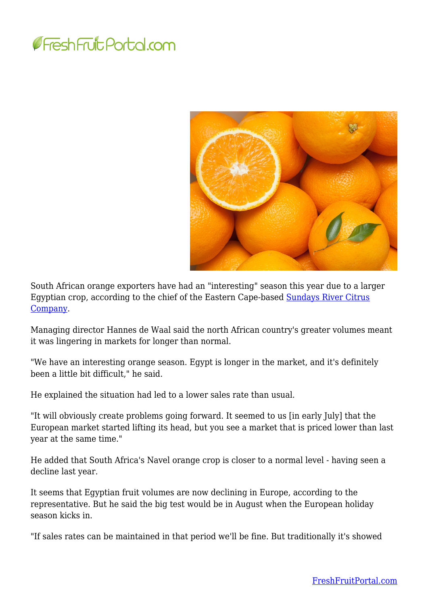



South African orange exporters have had an "interesting" season this year due to a larger Egyptian crop, according to the chief of the Eastern Cape-based [Sundays River Citrus](https://www.srcc.co.za/) [Company.](https://www.srcc.co.za/)

Managing director Hannes de Waal said the north African country's greater volumes meant it was lingering in markets for longer than normal.

"We have an interesting orange season. Egypt is longer in the market, and it's definitely been a little bit difficult," he said.

He explained the situation had led to a lower sales rate than usual.

"It will obviously create problems going forward. It seemed to us [in early July] that the European market started lifting its head, but you see a market that is priced lower than last year at the same time."

He added that South Africa's Navel orange crop is closer to a normal level - having seen a decline last year.

It seems that Egyptian fruit volumes are now declining in Europe, according to the representative. But he said the big test would be in August when the European holiday season kicks in.

"If sales rates can be maintained in that period we'll be fine. But traditionally it's showed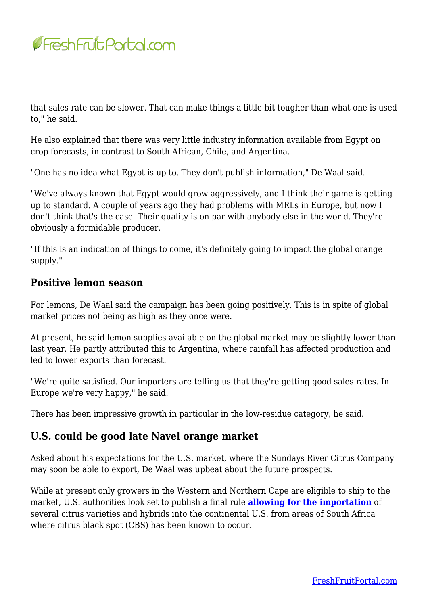

that sales rate can be slower. That can make things a little bit tougher than what one is used to," he said.

He also explained that there was very little industry information available from Egypt on crop forecasts, in contrast to South African, Chile, and Argentina.

"One has no idea what Egypt is up to. They don't publish information," De Waal said.

"We've always known that Egypt would grow aggressively, and I think their game is getting up to standard. A couple of years ago they had problems with MRLs in Europe, but now I don't think that's the case. Their quality is on par with anybody else in the world. They're obviously a formidable producer.

"If this is an indication of things to come, it's definitely going to impact the global orange supply."

## **Positive lemon season**

For lemons, De Waal said the campaign has been going positively. This is in spite of global market prices not being as high as they once were.

At present, he said lemon supplies available on the global market may be slightly lower than last year. He partly attributed this to Argentina, where rainfall has affected production and led to lower exports than forecast.

"We're quite satisfied. Our importers are telling us that they're getting good sales rates. In Europe we're very happy," he said.

There has been impressive growth in particular in the low-residue category, he said.

## **U.S. could be good late Navel orange market**

Asked about his expectations for the U.S. market, where the Sundays River Citrus Company may soon be able to export, De Waal was upbeat about the future prospects.

While at present only growers in the Western and Northern Cape are eligible to ship to the market, U.S. authorities look set to publish a final rule **[allowing for the importation](https://www.freshfruitportal.com/news/2018/06/15/south-africa-daff-clarifies-u-s-citrus-rule-not-yet-final/)** of several citrus varieties and hybrids into the continental U.S. from areas of South Africa where citrus black spot (CBS) has been known to occur.